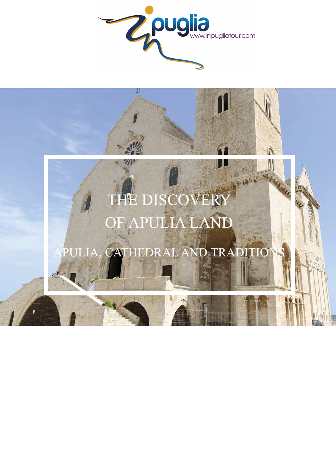

# NOTE CLARA THE DISCOVER OF APULIA LAND

## APULIA, CATHEDRAL AND TRA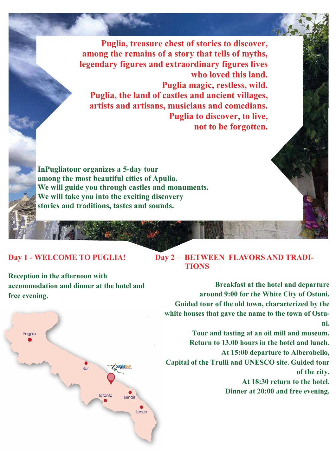**Puglia, treasure chest of stories to discover, among the remains of a story that tells of myths, legendary figures and extraordinary figures lives who loved this land. Puglia magic, restless, wild. Puglia, the land of castles and ancient villages, artists and artisans, musicians and comedians. Puglia to discover, to live, not to be forgotten.** 

**InPugliatour organizes a 5-day tour among the most beautiful cities of Apulia. We will guide you through castles and monuments. We will take you into the exciting discovery stories and traditions, tastes and sounds.** 

### **Day 1 - WELCOME TO PUGLIA!**

**Day 2 – BETWEEN FLAVORS AND TRADI- TIONS** 

**Reception in the afternoon with accommodation and dinner at the hotel and free evening.** 



**Breakfast at the hotel and departure around 9:00 for the White City of Ostuni. Guided tour of the old town, characterized by the white houses that gave the name to the town of Ostuni.** 

**Tour and tasting at an oil mill and museum. Return to 13.00 hours in the hotel and lunch. At 15:00 departure to Alberobello, Capital of the Trulli and UNESCO site. Guided tour of the city. At 18:30 return to the hotel. Dinner at 20:00 and free evening.**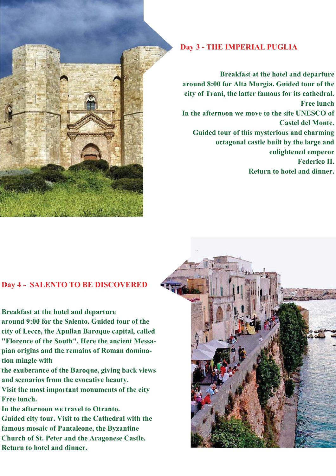

#### **Day 3 - THE IMPERIAL PUGLIA**

**Breakfast at the hotel and departure around 8:00 for Alta Murgia. Guided tour of the city of Trani, the latter famous for its cathedral. Free lunch In the afternoon we move to the site UNESCO of Castel del Monte. Guided tour of this mysterious and charming octagonal castle built by the large and enlightened emperor Federico II. Return to hotel and dinner.** 

#### **Day 4 - SALENTO TO BE DISCOVERED**

**Breakfast at the hotel and departure around 9:00 for the Salento. Guided tour of the city of Lecce, the Apulian Baroque capital, called "Florence of the South". Here the ancient Messapian origins and the remains of Roman domination mingle with** 

**the exuberance of the Baroque, giving back views and scenarios from the evocative beauty.** 

**Visit the most important monuments of the city Free lunch.** 

**In the afternoon we travel to Otranto. Guided city tour. Visit to the Cathedral with the famous mosaic of Pantaleone, the Byzantine Church of St. Peter and the Aragonese Castle. Return to hotel and dinner.** 

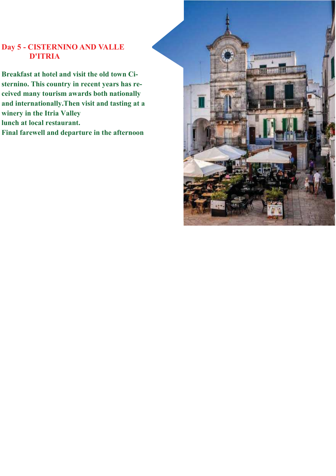#### **Day 5 - CISTERNINO AND VALLE D'ITRIA**

**Breakfast at hotel and visit the old town Cisternino. This country in recent years has received many tourism awards both nationally and internationally.Then visit and tasting at a winery in the Itria Valley lunch at local restaurant. Final farewell and departure in the afternoon**